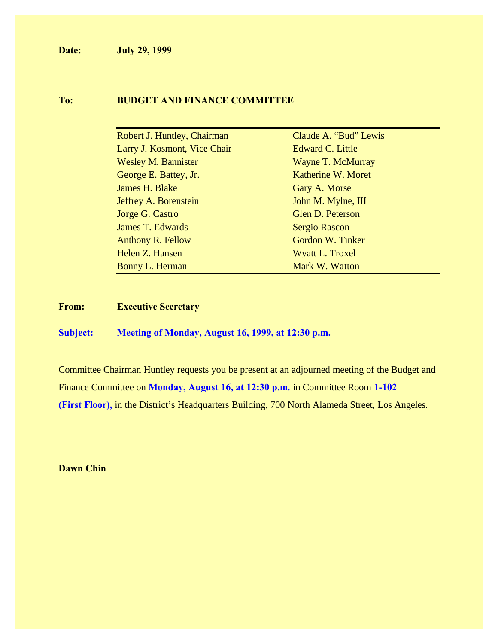**Date: July 29, 1999**

#### **To: BUDGET AND FINANCE COMMITTEE**

| Robert J. Huntley, Chairman  | Claude A. "Bud" Lewis |
|------------------------------|-----------------------|
| Larry J. Kosmont, Vice Chair | Edward C. Little      |
| <b>Wesley M. Bannister</b>   | Wayne T. McMurray     |
| George E. Battey, Jr.        | Katherine W. Moret    |
| James H. Blake               | Gary A. Morse         |
| <b>Jeffrey A. Borenstein</b> | John M. Mylne, III    |
| Jorge G. Castro              | Glen D. Peterson      |
| <b>James T. Edwards</b>      | <b>Sergio Rascon</b>  |
| <b>Anthony R. Fellow</b>     | Gordon W. Tinker      |
| Helen Z. Hansen              | Wyatt L. Troxel       |
| Bonny L. Herman              | Mark W. Watton        |

**From: Executive Secretary**

**Subject: Meeting of Monday, August 16, 1999, at 12:30 p.m.**

Committee Chairman Huntley requests you be present at an adjourned meeting of the Budget and Finance Committee on **Monday, August 16, at 12:30 p.m**. in Committee Room **1-102 (First Floor),** in the District's Headquarters Building, 700 North Alameda Street, Los Angeles.

**Dawn Chin**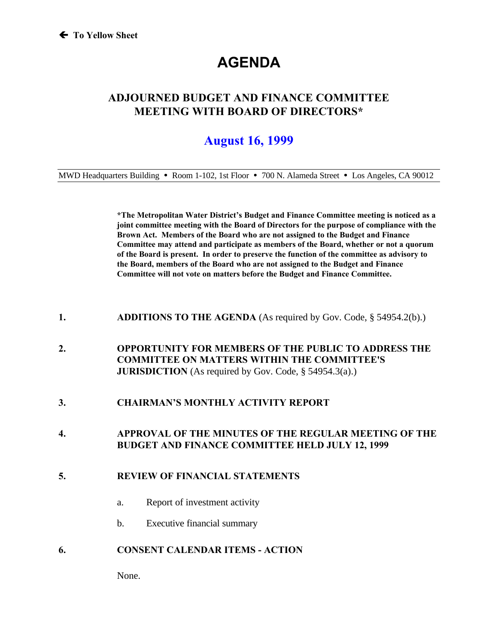# **AGENDA**

### **ADJOURNED BUDGET AND FINANCE COMMITTEE MEETING WITH BOARD OF DIRECTORS\***

## **August 16, 1999**

MWD Headquarters Building **ü** Room 1-102, 1st Floor **ü** 700 N. Alameda Street **ü** Los Angeles, CA 90012

**\*The Metropolitan Water District's Budget and Finance Committee meeting is noticed as a joint committee meeting with the Board of Directors for the purpose of compliance with the Brown Act. Members of the Board who are not assigned to the Budget and Finance Committee may attend and participate as members of the Board, whether or not a quorum of the Board is present. In order to preserve the function of the committee as advisory to the Board, members of the Board who are not assigned to the Budget and Finance Committee will not vote on matters before the Budget and Finance Committee.**

- **1. ADDITIONS TO THE AGENDA** (As required by Gov. Code, § 54954.2(b).)
- **2. OPPORTUNITY FOR MEMBERS OF THE PUBLIC TO ADDRESS THE COMMITTEE ON MATTERS WITHIN THE COMMITTEE'S JURISDICTION** (As required by Gov. Code, § 54954.3(a).)
- **3. CHAIRMAN'S MONTHLY ACTIVITY REPORT**
- **4. APPROVAL OF THE MINUTES OF THE REGULAR MEETING OF THE BUDGET AND FINANCE COMMITTEE HELD JULY 12, 1999**

#### **5. REVIEW OF FINANCIAL STATEMENTS**

- a. Report of investment activity
- b. Executive financial summary
- **6. CONSENT CALENDAR ITEMS ACTION**

None.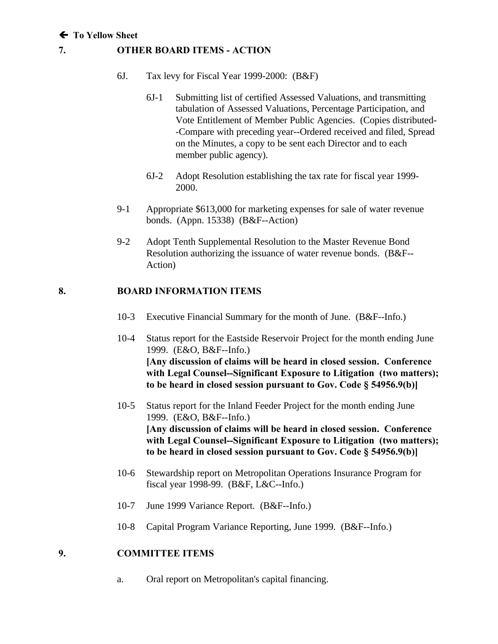#### **7. OTHER BOARD ITEMS - ACTION**

- 6J. Tax levy for Fiscal Year 1999-2000: (B&F)
	- 6J-1 Submitting list of certified Assessed Valuations, and transmitting tabulation of Assessed Valuations, Percentage Participation, and Vote Entitlement of Member Public Agencies. (Copies distributed- -Compare with preceding year--Ordered received and filed, Spread on the Minutes, a copy to be sent each Director and to each member public agency).
	- 6J-2 Adopt Resolution establishing the tax rate for fiscal year 1999- 2000.
- 9-1 Appropriate \$613,000 for marketing expenses for sale of water revenue bonds. (Appn. 15338) (B&F--Action)
- 9-2 Adopt Tenth Supplemental Resolution to the Master Revenue Bond Resolution authorizing the issuance of water revenue bonds. (B&F-- Action)

#### **8. BOARD INFORMATION ITEMS**

- 10-3 Executive Financial Summary for the month of June. (B&F--Info.)
- 10-4 Status report for the Eastside Reservoir Project for the month ending June 1999. (E&O, B&F--Info.) **[Any discussion of claims will be heard in closed session. Conference with Legal Counsel--Significant Exposure to Litigation (two matters); to be heard in closed session pursuant to Gov. Code § 54956.9(b)]**
- 10-5 Status report for the Inland Feeder Project for the month ending June 1999. (E&O, B&F--Info.) **[Any discussion of claims will be heard in closed session. Conference with Legal Counsel--Significant Exposure to Litigation (two matters); to be heard in closed session pursuant to Gov. Code § 54956.9(b)]**
- 10-6 Stewardship report on Metropolitan Operations Insurance Program for fiscal year 1998-99. (B&F, L&C--Info.)
- 10-7 June 1999 Variance Report. (B&F--Info.)
- 10-8 Capital Program Variance Reporting, June 1999. (B&F--Info.)

#### **9. COMMITTEE ITEMS**

a. Oral report on Metropolitan's capital financing.